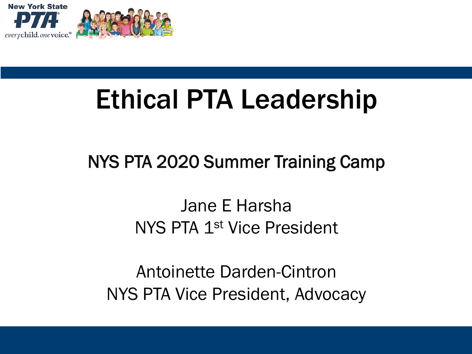

# Ethical PTA Leadership

#### NYS PTA 2020 Summer Training Camp

#### Jane E Harsha NYS PTA 1st Vice President

Antoinette Darden-Cintron NYS PTA Vice President, Advocacy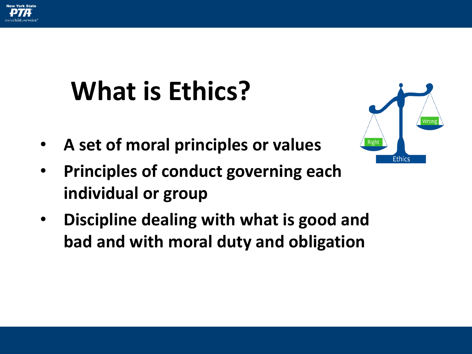

# **What is Ethics?**

• **A set of moral principles or values**



- **Principles of conduct governing each individual or group**
- **Discipline dealing with what is good and bad and with moral duty and obligation**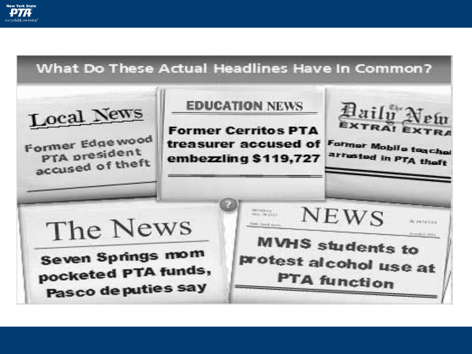

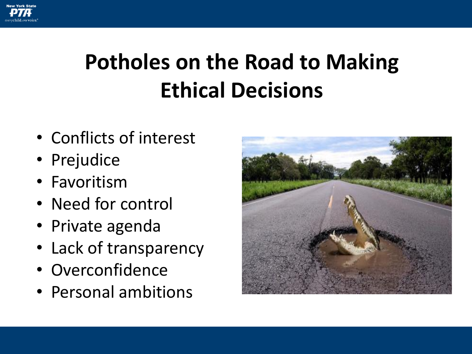

### **Potholes on the Road to Making Ethical Decisions**

- Conflicts of interest
- Prejudice
- Favoritism
- Need for control
- Private agenda
- Lack of transparency
- Overconfidence
- Personal ambitions

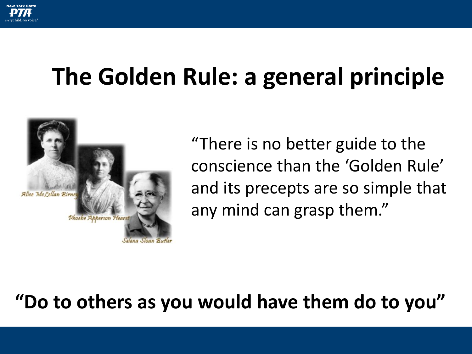

## **The Golden Rule: a general principle**



"There is no better guide to the conscience than the 'Golden Rule' and its precepts are so simple that any mind can grasp them."

#### **"Do to others as you would have them do to you"**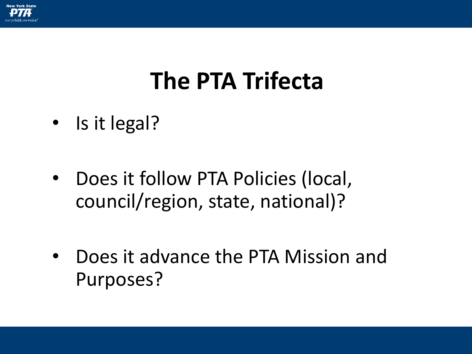

### **The PTA Trifecta**

- Is it legal?
- Does it follow PTA Policies (local, council/region, state, national)?
- Does it advance the PTA Mission and Purposes?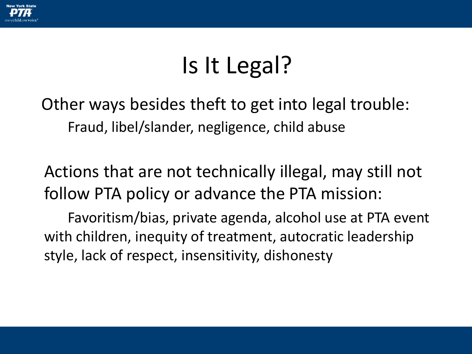

## Is It Legal?

Other ways besides theft to get into legal trouble: Fraud, libel/slander, negligence, child abuse

Actions that are not technically illegal, may still not follow PTA policy or advance the PTA mission:

Favoritism/bias, private agenda, alcohol use at PTA event with children, inequity of treatment, autocratic leadership style, lack of respect, insensitivity, dishonesty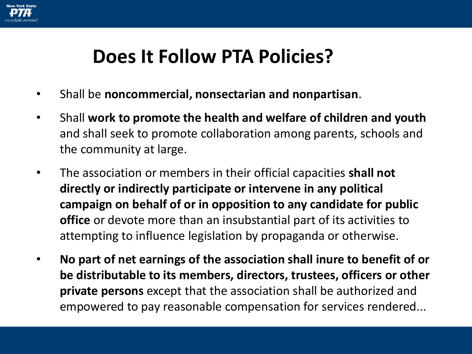

#### **Does It Follow PTA Policies?**

- Shall be **noncommercial, nonsectarian and nonpartisan**.
- Shall **work to promote the health and welfare of children and youth**  and shall seek to promote collaboration among parents, schools and the community at large.
- The association or members in their official capacities **shall not directly or indirectly participate or intervene in any political campaign on behalf of or in opposition to any candidate for public office** or devote more than an insubstantial part of its activities to attempting to influence legislation by propaganda or otherwise.
- **No part of net earnings of the association shall inure to benefit of or be distributable to its members, directors, trustees, officers or other private persons** except that the association shall be authorized and empowered to pay reasonable compensation for services rendered...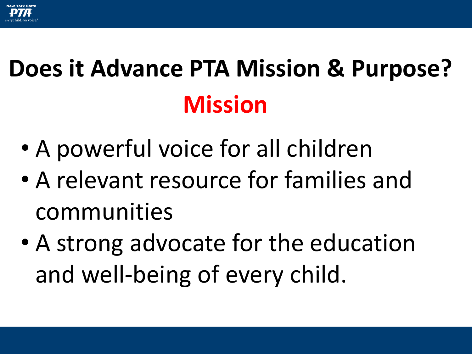

# **Does it Advance PTA Mission & Purpose? Mission**

- A powerful voice for all children
- A relevant resource for families and communities
- A strong advocate for the education and well-being of every child.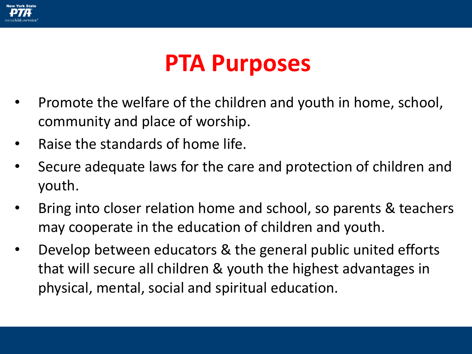

#### **PTA Purposes**

- Promote the welfare of the children and youth in home, school, community and place of worship.
- Raise the standards of home life.
- Secure adequate laws for the care and protection of children and youth.
- Bring into closer relation home and school, so parents & teachers may cooperate in the education of children and youth.
- Develop between educators & the general public united efforts that will secure all children & youth the highest advantages in physical, mental, social and spiritual education.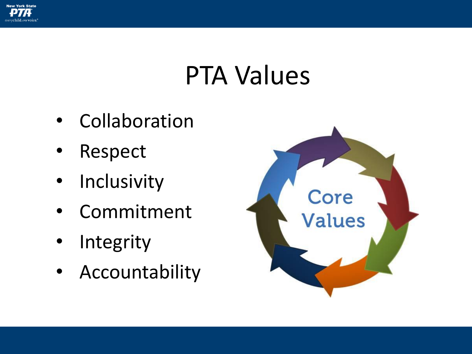

## PTA Values

- Collaboration
- Respect
- **Inclusivity**
- **Commitment**
- **Integrity**
- Accountability

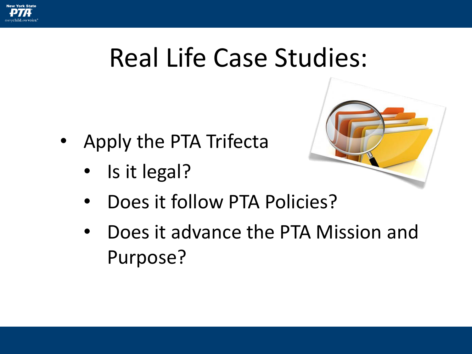

## Real Life Case Studies:

- Apply the PTA Trifecta
	- Is it legal?



- Does it follow PTA Policies?
- Does it advance the PTA Mission and Purpose?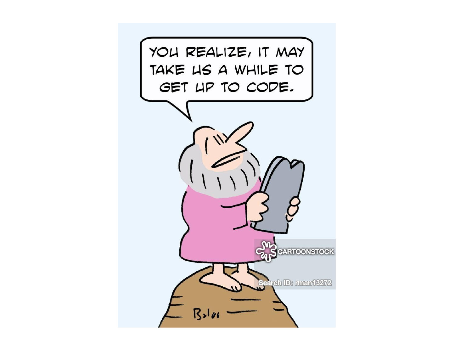